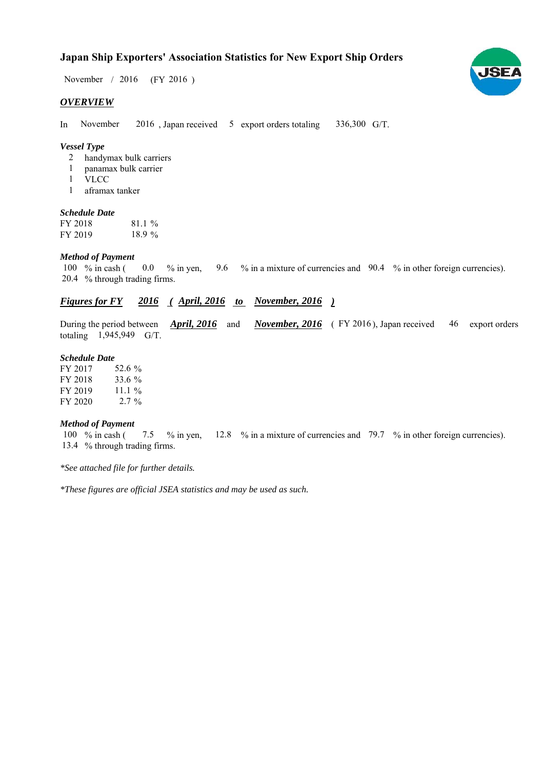## **Japan Ship Exporters' Association Statistics for New Export Ship Orders**

November / 2016 (FY 2016)

#### *OVERVIEW*

In November 2016, Japan received 5 export orders totaling 336,300 G/T. November

#### *Vessel Type*

- handymax bulk carriers 2
- panamax bulk carrier 1
- VLCC 1
- aframax tanker 1

#### *Schedule Date*

FY 2018 FY 2019 81.1 % 18.9

#### *Method of Payment*

% in cash ( $\ 0.0\,$  % in yen,  $\ 9.6\,$  % in a mixture of currencies and  $\ 90.4\,$  % in other foreign currencies). % through trading firms. 20.4 100  $%$  in cash (  $0.0 \frac{9}{6}$  in yen.

### *Figures for FY* 2016 (*April, 2016 to November, 2016* )

During the period between *April, 2016* and *November, 2016* (FY 2016), Japan received 46 export orders totaling  $1,945,949$  G/T. During the period between *April, 2016* and

#### *Schedule Date*

| FY 2017 | 52.6 %    |
|---------|-----------|
| FY 2018 | 33.6 %    |
| FY 2019 | 11.1 $\%$ |
| FY 2020 | $2.7\%$   |

#### *Method of Payment*

100 % in cash (7.5 % in yen, 12.8 % in a mixture of currencies and 79.7 % in other foreign currencies). 13.4 % through trading firms.

*\*See attached file for further details.*

*\*These figures are official JSEA statistics and may be used as such.*

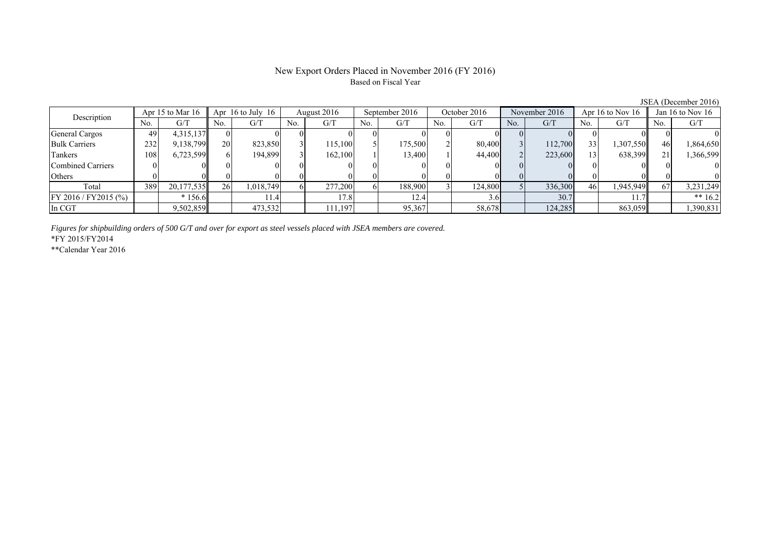### New Export Orders Placed in November 2016 (FY 2016) Based on Fiscal Year

JSEA (December 2016)

| Description              | Apr 15 to Mar $16$ |            | Apr $16$ to July $16$ |           | August 2016 |         | September 2016 |         | October 2016 |         | November 2016  |         | Apr 16 to Nov $16$ |           | Jan 16 to Nov $16$ |           |
|--------------------------|--------------------|------------|-----------------------|-----------|-------------|---------|----------------|---------|--------------|---------|----------------|---------|--------------------|-----------|--------------------|-----------|
|                          | No.                | G/T        | No.                   | G/T       | No.         | G/T     | No.            | G/T     | No.          | G/T     | N <sub>0</sub> | G/T     | No.                | G/T       | No.                | G/T       |
| General Cargos           | 49                 | 4,315,137  |                       |           |             |         |                |         |              |         |                |         |                    |           |                    |           |
| <b>Bulk Carriers</b>     | 232                | 9,138,799  | <b>20</b>             | 823,850   |             | 115,100 |                | 175,500 |              | 80,400  |                | 112,700 | 33                 | 1,307,550 | 46                 | 1,864,650 |
| Tankers                  | 108                | 6,723,599  |                       | 194,899   |             | 162,100 |                | 13,400  |              | 44,400  |                | 223,600 |                    | 638,399   |                    | 1,366,599 |
| <b>Combined Carriers</b> |                    |            |                       |           |             |         |                |         |              |         |                |         |                    |           |                    |           |
| Others                   |                    |            |                       |           |             |         |                |         |              |         |                |         |                    |           |                    |           |
| Total                    | 389                | 20,177,535 | 26 <sup>1</sup>       | 1,018,749 |             | 277,200 |                | 188,900 |              | 124,800 |                | 336,300 | 46                 | .945,949  | 67                 | 3,231,249 |
| FY 2016 / FY 2015 (%)    |                    | $*156.6$   |                       | 11.4      |             |         |                | 12.4    |              | 3.0     |                | 30.7    |                    |           |                    | ** $16.2$ |
| In CGT                   |                    | 9,502,859  |                       | 473,532   |             | 111,197 |                | 95,367  |              | 58,678  |                | 124,285 |                    | 863,059   |                    | 1,390,831 |

*Figures for shipbuilding orders of 500 G/T and over for export as steel vessels placed with JSEA members are covered.*

\*FY 2015/FY2014

\*\*Calendar Year 2016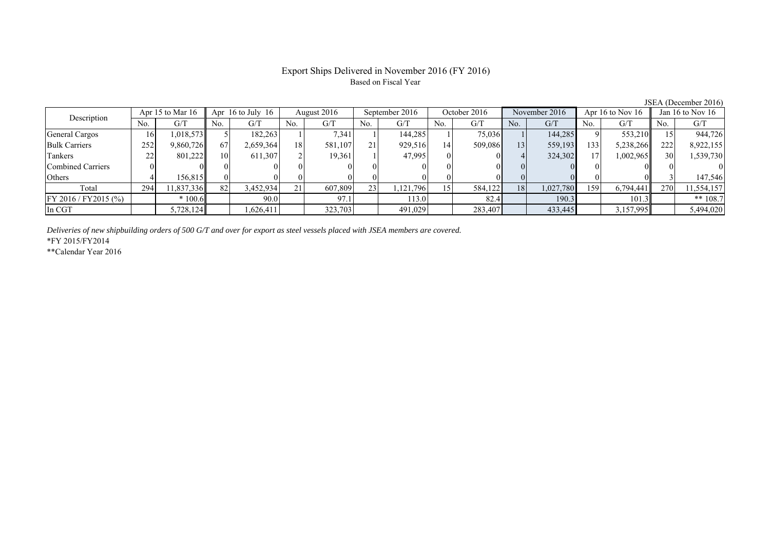#### Export Ships Delivered in November 2016 (FY 2016) Based on Fiscal Year

| Description          | Apr 15 to Mar $16$ |           | Apr $16$ to July $16$ |           | August 2016 |         | September 2016  |          | October 2016 |         | November 2016   |           | Apr 16 to Nov $16$ |           | Jan 16 to Nov $16$ |            |
|----------------------|--------------------|-----------|-----------------------|-----------|-------------|---------|-----------------|----------|--------------|---------|-----------------|-----------|--------------------|-----------|--------------------|------------|
|                      | No.                | G/7       | No.                   | G/T       | No.         | G/T     | No.             | G/T      | No.          | G/T     | No.             | G/T       | No.                | G/T       | No.                | G/T        |
| General Cargos       | 16                 | 1,018,573 |                       | 182,263   |             | 7,341   |                 | 144,285  |              | 75,036  |                 | 144,285   |                    | 553,210   |                    | 944,726    |
| <b>Bulk Carriers</b> | 252                | 9,860,726 | 67                    | 2,659,364 | 18          | 581,107 | 21              | 929,516  | 14           | 509,086 | 13 <sub>1</sub> | 559,193   | 133                | 5,238,266 | 222                | 8,922,155  |
| Tankers              | 22                 | 801,222   | 10                    | 611,307   |             | 19,361  |                 | 47,995   |              |         |                 | 324,302   |                    | 1,002,965 | 30                 | 1,539,730  |
| Combined Carriers    |                    |           |                       |           |             |         |                 |          |              |         |                 |           |                    |           |                    |            |
| Others               |                    | 156.815   |                       |           |             |         |                 |          |              |         |                 |           |                    |           |                    | 147,546    |
| Total                | 294                | 1,837,336 | 82                    | 3,452,934 | 21          | 607,809 | 23 <sub>1</sub> | .121,796 | 15           | 584,122 | 18              | 1,027,780 | 159                | 6,794,441 | 270                | 11,554,157 |
| FY 2016 / FY2015 (%) |                    | $*100.6$  |                       | 90.0      |             | 97.1    |                 | 113.0    |              | 82.4    |                 | 190.3     |                    | 101.3     |                    | ** $108.7$ |
| In CGT               |                    | 5,728,124 |                       | .626.411  |             | 323,703 |                 | 491,029  |              | 283,407 |                 | 433,445   |                    | 3,157,995 |                    | 5,494,020  |

*Deliveries of new shipbuilding orders of 500 G/T and over for export as steel vessels placed with JSEA members are covered.*

\*FY 2015/FY2014

\*\*Calendar Year 2016

JSEA (December 2016)